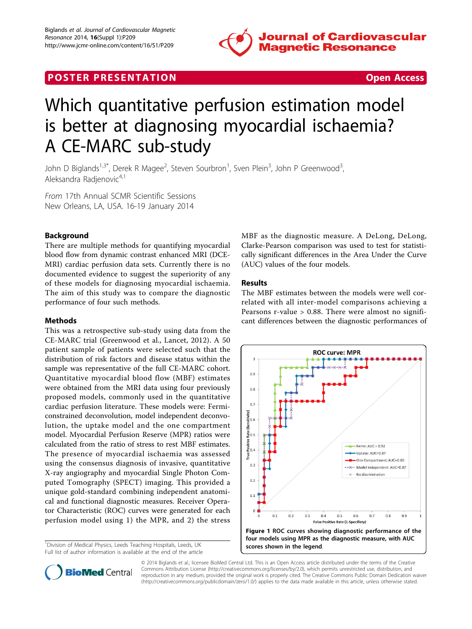

## <span id="page-0-0"></span>**POSTER PRESENTATION CONSUMING ACCESS**

# Which quantitative perfusion estimation model is better at diagnosing myocardial ischaemia? A CE-MARC sub-study

John D Biglands<sup>1,3\*</sup>, Derek R Magee<sup>2</sup>, Steven Sourbron<sup>1</sup>, Sven Plein<sup>3</sup>, John P Greenwood<sup>3</sup> , Aleksandra Radienovic<sup>4,1</sup>

From 17th Annual SCMR Scientific Sessions New Orleans, LA, USA. 16-19 January 2014

### Background

There are multiple methods for quantifying myocardial blood flow from dynamic contrast enhanced MRI (DCE-MRI) cardiac perfusion data sets. Currently there is no documented evidence to suggest the superiority of any of these models for diagnosing myocardial ischaemia. The aim of this study was to compare the diagnostic performance of four such methods.

#### Methods

This was a retrospective sub-study using data from the CE-MARC trial (Greenwood et al., Lancet, 2012). A 50 patient sample of patients were selected such that the distribution of risk factors and disease status within the sample was representative of the full CE-MARC cohort. Quantitative myocardial blood flow (MBF) estimates were obtained from the MRI data using four previously proposed models, commonly used in the quantitative cardiac perfusion literature. These models were: Fermiconstrained deconvolution, model independent deconvolution, the uptake model and the one compartment model. Myocardial Perfusion Reserve (MPR) ratios were calculated from the ratio of stress to rest MBF estimates. The presence of myocardial ischaemia was assessed using the consensus diagnosis of invasive, quantitative X-ray angiography and myocardial Single Photon Computed Tomography (SPECT) imaging. This provided a unique gold-standard combining independent anatomical and functional diagnostic measures. Receiver Operator Characteristic (ROC) curves were generated for each perfusion model using 1) the MPR, and 2) the stress

<sup>1</sup> Division of Medical Physics, Leeds Teaching Hospitals, Leeds, UK Full list of author information is available at the end of the article MBF as the diagnostic measure. A DeLong, DeLong, Clarke-Pearson comparison was used to test for statistically significant differences in the Area Under the Curve (AUC) values of the four models.

#### Results

The MBF estimates between the models were well correlated with all inter-model comparisons achieving a Pearsons r-value > 0.88. There were almost no significant differences between the diagnostic performances of





© 2014 Biglands et al.; licensee BioMed Central Ltd. This is an Open Access article distributed under the terms of the Creative Commons Attribution License [\(http://creativecommons.org/licenses/by/2.0](http://creativecommons.org/licenses/by/2.0)), which permits unrestricted use, distribution, and reproduction in any medium, provided the original work is properly cited. The Creative Commons Public Domain Dedication waiver [\(http://creativecommons.org/publicdomain/zero/1.0/](http://creativecommons.org/publicdomain/zero/1.0/)) applies to the data made available in this article, unless otherwise stated.